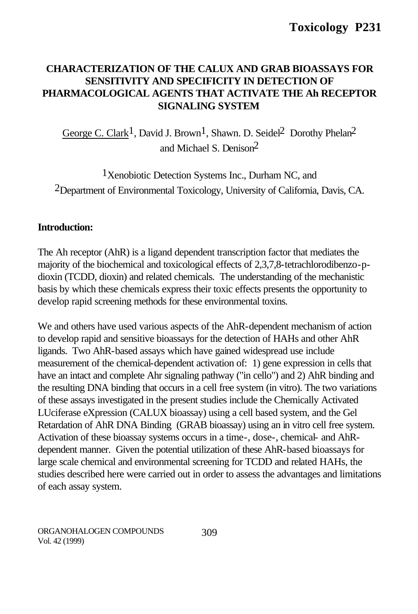# **CHARACTERIZATION OF THE CALUX AND GRAB BIOASSAYS FOR SENSITIVITY AND SPECIFICITY IN DETECTION OF PHARMACOLOGICAL AGENTS THAT ACTIVATE THE Ah RECEPTOR SIGNALING SYSTEM**

George C. Clark<sup>1</sup>, David J. Brown<sup>1</sup>, Shawn. D. Seidel<sup>2</sup> Dorothy Phelan<sup>2</sup> and Michael S. Denison2

<sup>1</sup>Xenobiotic Detection Systems Inc., Durham NC, and 2Department of Environmental Toxicology, University of California, Davis, CA.

#### **Introduction:**

The Ah receptor (AhR) is a ligand dependent transcription factor that mediates the majority of the biochemical and toxicological effects of 2,3,7,8-tetrachlorodibenzo-pdioxin (TCDD, dioxin) and related chemicals. The understanding of the mechanistic basis by which these chemicals express their toxic effects presents the opportunity to develop rapid screening methods for these environmental toxins.

We and others have used various aspects of the AhR-dependent mechanism of action to develop rapid and sensitive bioassays for the detection of HAHs and other AhR ligands. Two AhR-based assays which have gained widespread use include measurement of the chemical-dependent activation of: 1) gene expression in cells that have an intact and complete Ahr signaling pathway ("in cello") and 2) AhR binding and the resulting DNA binding that occurs in a cell free system (in vitro). The two variations of these assays investigated in the present studies include the Chemically Activated LUciferase eXpression (CALUX bioassay) using a cell based system, and the Gel Retardation of AhR DNA Binding (GRAB bioassay) using an in vitro cell free system. Activation of these bioassay systems occurs in a time-, dose-, chemical- and AhRdependent manner. Given the potential utilization of these AhR-based bioassays for large scale chemical and environmental screening for TCDD and related HAHs, the studies described here were carried out in order to assess the advantages and limitations of each assay system.

ORGANOHALOGEN COMPOUNDS Vol. 42 (1999)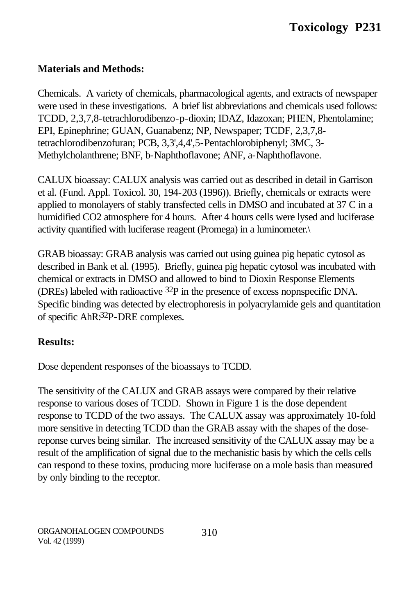# **Materials and Methods:**

Chemicals. A variety of chemicals, pharmacological agents, and extracts of newspaper were used in these investigations. A brief list abbreviations and chemicals used follows: TCDD, 2,3,7,8-tetrachlorodibenzo-p-dioxin; IDAZ, Idazoxan; PHEN, Phentolamine; EPI, Epinephrine; GUAN, Guanabenz; NP, Newspaper; TCDF, 2,3,7,8 tetrachlorodibenzofuran; PCB, 3,3',4,4',5-Pentachlorobiphenyl; 3MC, 3- Methylcholanthrene; BNF, b-Naphthoflavone; ANF, a-Naphthoflavone.

CALUX bioassay: CALUX analysis was carried out as described in detail in Garrison et al. (Fund. Appl. Toxicol. 30, 194-203 (1996)). Briefly, chemicals or extracts were applied to monolayers of stably transfected cells in DMSO and incubated at 37 C in a humidified CO2 atmosphere for 4 hours. After 4 hours cells were lysed and luciferase activity quantified with luciferase reagent (Promega) in a luminometer.\

GRAB bioassay: GRAB analysis was carried out using guinea pig hepatic cytosol as described in Bank et al. (1995). Briefly, guinea pig hepatic cytosol was incubated with chemical or extracts in DMSO and allowed to bind to Dioxin Response Elements (DREs) labeled with radioactive 32P in the presence of excess nopnspecific DNA. Specific binding was detected by electrophoresis in polyacrylamide gels and quantitation of specific AhR:32P-DRE complexes.

## **Results:**

Dose dependent responses of the bioassays to TCDD.

The sensitivity of the CALUX and GRAB assays were compared by their relative response to various doses of TCDD. Shown in Figure 1 is the dose dependent response to TCDD of the two assays. The CALUX assay was approximately 10-fold more sensitive in detecting TCDD than the GRAB assay with the shapes of the dosereponse curves being similar. The increased sensitivity of the CALUX assay may be a result of the amplification of signal due to the mechanistic basis by which the cells cells can respond to these toxins, producing more luciferase on a mole basis than measured by only binding to the receptor.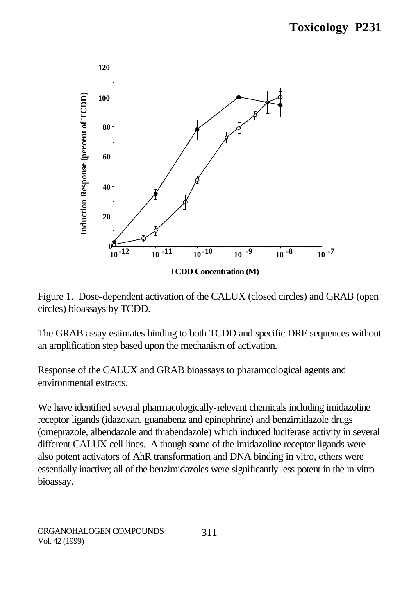

Figure 1. Dose-dependent activation of the CALUX (closed circles) and GRAB (open circles) bioassays by TCDD.

The GRAB assay estimates binding to both TCDD and specific DRE sequences without an amplification step based upon the mechanism of activation.

Response of the CALUX and GRAB bioassays to pharamcological agents and environmental extracts.

We have identified several pharmacologically-relevant chemicals including imidazoline receptor ligands (idazoxan, guanabenz and epinephrine) and benzimidazole drugs (omeprazole, albendazole and thiabendazole) which induced luciferase activity in several different CALUX cell lines. Although some of the imidazoline receptor ligands were also potent activators of AhR transformation and DNA binding in vitro, others were essentially inactive; all of the benzimidazoles were significantly less potent in the in vitro bioassay.